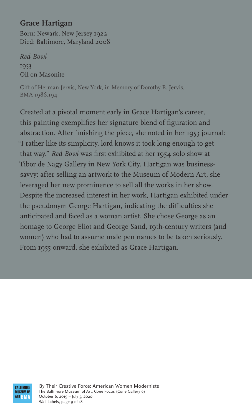### **Grace Hartigan**

Born: Newark, New Jersey 1922 Died: Baltimore, Maryland 2008

*Red Bowl* 1953 Oil on Masonite

Gift of Herman Jervis, New York, in Memory of Dorothy B. Jervis, BMA 1986.194

Created at a pivotal moment early in Grace Hartigan's career, this painting exemplifies her signature blend of figuration and abstraction. After finishing the piece, she noted in her 1953 journal: "I rather like its simplicity, lord knows it took long enough to get that way." *Red Bowl* was first exhibited at her 1954 solo show at Tibor de Nagy Gallery in New York City. Hartigan was businesssavvy: after selling an artwork to the Museum of Modern Art, she leveraged her new prominence to sell all the works in her show. Despite the increased interest in her work, Hartigan exhibited under the pseudonym George Hartigan, indicating the difficulties she anticipated and faced as a woman artist. She chose George as an homage to George Eliot and George Sand, 19th-century writers (and women) who had to assume male pen names to be taken seriously. From 1955 onward, she exhibited as Grace Hartigan.



By Their Creative Force: American Women Modernists The Baltimore Museum of Art, Cone Focus (Cone Gallery 6) October 6, 2019 – July 5, 2020 Wall Labels, page 9 of 18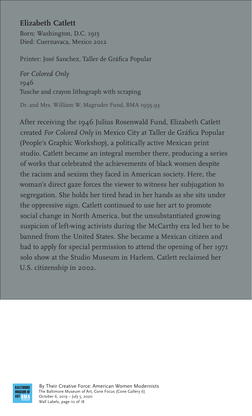# **Elizabeth Catlett**

Born: Washington, D.C. 1915 Died: Cuernavaca, Mexico 2012

Printer: José Sanchez, Taller de Gráfica Popular

*For Colored Only* 1946 Tusche and crayon lithograph with scraping

Dr. and Mrs. William W. Magruder Fund, BMA 1995.93

After receiving the 1946 Julius Rosenwald Fund, Elizabeth Catlett created *For Colored Only* in Mexico City at Taller de Gráfica Popular (People's Graphic Workshop), a politically active Mexican print studio. Catlett became an integral member there, producing a series of works that celebrated the achievements of black women despite the racism and sexism they faced in American society. Here, the woman's direct gaze forces the viewer to witness her subjugation to segregation. She holds her tired head in her hands as she sits under the oppressive sign. Catlett continued to use her art to promote social change in North America, but the unsubstantiated growing suspicion of left-wing activists during the McCarthy era led her to be banned from the United States. She became a Mexican citizen and had to apply for special permission to attend the opening of her 1971 solo show at the Studio Museum in Harlem. Catlett reclaimed her U.S. citizenship in 2002.



By Their Creative Force: American Women Modernists The Baltimore Museum of Art, Cone Focus (Cone Gallery 6) October 6, 2019 – July 5, 2020 Wall Labels, page 10 of 18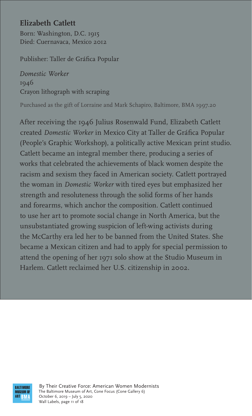# **Elizabeth Catlett**

Born: Washington, D.C. 1915 Died: Cuernavaca, Mexico 2012

Publisher: Taller de Gráfica Popular

*Domestic Worker* 1946 Crayon lithograph with scraping

Purchased as the gift of Lorraine and Mark Schapiro, Baltimore, BMA 1997.20

After receiving the 1946 Julius Rosenwald Fund, Elizabeth Catlett created *Domestic Worker* in Mexico City at Taller de Gráfica Popular (People's Graphic Workshop), a politically active Mexican print studio. Catlett became an integral member there, producing a series of works that celebrated the achievements of black women despite the racism and sexism they faced in American society. Catlett portrayed the woman in *Domestic Worker* with tired eyes but emphasized her strength and resoluteness through the solid forms of her hands and forearms, which anchor the composition. Catlett continued to use her art to promote social change in North America, but the unsubstantiated growing suspicion of left-wing activists during the McCarthy era led her to be banned from the United States. She became a Mexican citizen and had to apply for special permission to attend the opening of her 1971 solo show at the Studio Museum in Harlem. Catlett reclaimed her U.S. citizenship in 2002.



By Their Creative Force: American Women Modernists The Baltimore Museum of Art, Cone Focus (Cone Gallery 6) October 6, 2019 – July 5, 2020 Wall Labels, page 11 of 18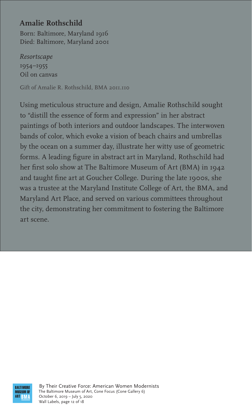## **Amalie Rothschild**

Born: Baltimore, Maryland 1916 Died: Baltimore, Maryland 2001

*Resortscape* 1954–1955 Oil on canvas

Gift of Amalie R. Rothschild, BMA 2011.110

Using meticulous structure and design, Amalie Rothschild sought to "distill the essence of form and expression" in her abstract paintings of both interiors and outdoor landscapes. The interwoven bands of color, which evoke a vision of beach chairs and umbrellas by the ocean on a summer day, illustrate her witty use of geometric forms. A leading figure in abstract art in Maryland, Rothschild had her first solo show at The Baltimore Museum of Art (BMA) in 1942 and taught fine art at Goucher College. During the late 1900s, she was a trustee at the Maryland Institute College of Art, the BMA, and Maryland Art Place, and served on various committees throughout the city, demonstrating her commitment to fostering the Baltimore art scene.



By Their Creative Force: American Women Modernists The Baltimore Museum of Art, Cone Focus (Cone Gallery 6) October 6, 2019 – July 5, 2020 Wall Labels, page 12 of 18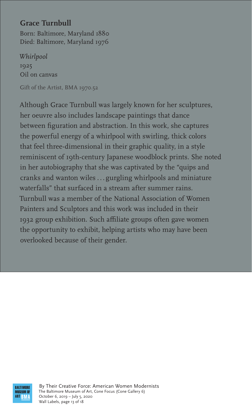By Their Creative Force: American Women Modernists The Baltimore Museum of Art, Cone Focus (Cone Gallery 6) October 6, 2019 – July 5, 2020 Wall Labels, page 13 of 18

### **Grace Turnbull**

Born: Baltimore, Maryland 1880 Died: Baltimore, Maryland 1976

*Whirlpool* 1925 Oil on canvas

Gift of the Artist, BMA 1970.52

Although Grace Turnbull was largely known for her sculptures, her oeuvre also includes landscape paintings that dance between figuration and abstraction. In this work, she captures the powerful energy of a whirlpool with swirling, thick colors that feel three-dimensional in their graphic quality, in a style reminiscent of 19th-century Japanese woodblock prints. She noted in her autobiography that she was captivated by the "quips and cranks and wanton wiles . . . gurgling whirlpools and miniature waterfalls" that surfaced in a stream after summer rains. Turnbull was a member of the National Association of Women Painters and Sculptors and this work was included in their 1932 group exhibition. Such affiliate groups often gave women the opportunity to exhibit, helping artists who may have been overlooked because of their gender.

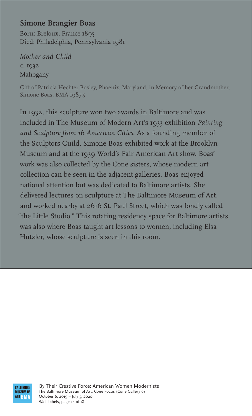Gift of Patricia Hechter Bosley, Phoenix, Maryland, in Memory of her Grandmother, Simone Boas, BMA 1987.5

#### **Simone Brangier Boas**

Born: Breloux, France 1895 Died: Philadelphia, Pennsylvania 1981

*Mother and Child* c. 1932 Mahogany

In 1932, this sculpture won two awards in Baltimore and was included in The Museum of Modern Art's 1933 exhibition *Painting and Sculpture from 16 American Cities*. As a founding member of the Sculptors Guild, Simone Boas exhibited work at the Brooklyn Museum and at the 1939 World's Fair American Art show. Boas' work was also collected by the Cone sisters, whose modern art collection can be seen in the adjacent galleries. Boas enjoyed national attention but was dedicated to Baltimore artists. She delivered lectures on sculpture at The Baltimore Museum of Art, and worked nearby at 2616 St. Paul Street, which was fondly called "the Little Studio." This rotating residency space for Baltimore artists was also where Boas taught art lessons to women, including Elsa Hutzler, whose sculpture is seen in this room.



By Their Creative Force: American Women Modernists The Baltimore Museum of Art, Cone Focus (Cone Gallery 6) October 6, 2019 – July 5, 2020 Wall Labels, page 14 of 18